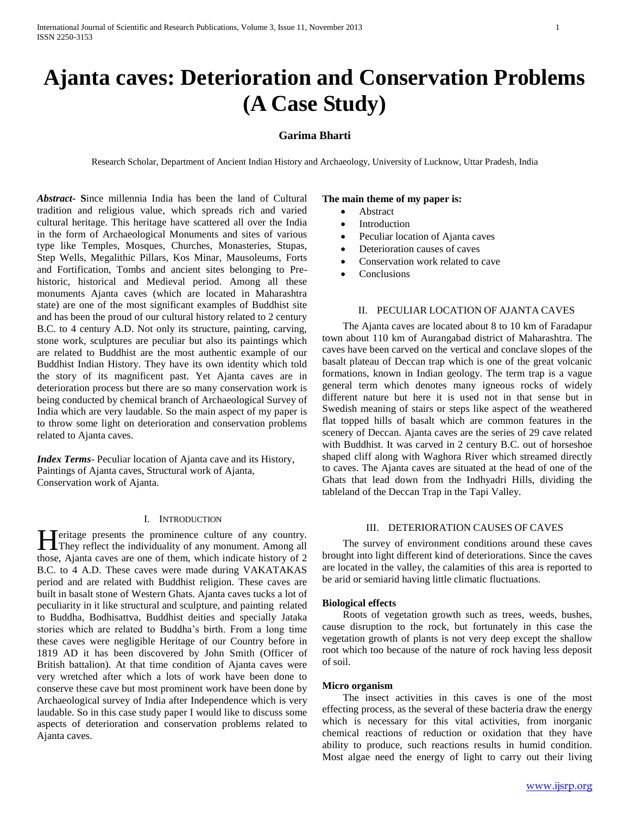# **Ajanta caves: Deterioration and Conservation Problems (A Case Study)**

# **Garima Bharti**

Research Scholar, Department of Ancient Indian History and Archaeology, University of Lucknow, Uttar Pradesh, India

*Abstract***- S**ince millennia India has been the land of Cultural tradition and religious value, which spreads rich and varied cultural heritage. This heritage have scattered all over the India in the form of Archaeological Monuments and sites of various type like Temples, Mosques, Churches, Monasteries, Stupas, Step Wells, Megalithic Pillars, Kos Minar, Mausoleums, Forts and Fortification, Tombs and ancient sites belonging to Prehistoric, historical and Medieval period. Among all these monuments Ajanta caves (which are located in Maharashtra state) are one of the most significant examples of Buddhist site and has been the proud of our cultural history related to 2 century B.C. to 4 century A.D. Not only its structure, painting, carving, stone work, sculptures are peculiar but also its paintings which are related to Buddhist are the most authentic example of our Buddhist Indian History. They have its own identity which told the story of its magnificent past. Yet Ajanta caves are in deterioration process but there are so many conservation work is being conducted by chemical branch of Archaeological Survey of India which are very laudable. So the main aspect of my paper is to throw some light on deterioration and conservation problems related to Ajanta caves.

*Index Terms*- Peculiar location of Ajanta cave and its History, Paintings of Ajanta caves, Structural work of Ajanta, Conservation work of Ajanta.

## I. INTRODUCTION

Teritage presents the prominence culture of any country. **TH**eritage presents the prominence culture of any country.<br>They reflect the individuality of any monument. Among all those, Ajanta caves are one of them, which indicate history of 2 B.C. to 4 A.D. These caves were made during VAKATAKAS period and are related with Buddhist religion. These caves are built in basalt stone of Western Ghats. Ajanta caves tucks a lot of peculiarity in it like structural and sculpture, and painting related to Buddha, Bodhisattva, Buddhist deities and specially Jataka stories which are related to Buddha's birth. From a long time these caves were negligible Heritage of our Country before in 1819 AD it has been discovered by John Smith (Officer of British battalion). At that time condition of Ajanta caves were very wretched after which a lots of work have been done to conserve these cave but most prominent work have been done by Archaeological survey of India after Independence which is very laudable. So in this case study paper I would like to discuss some aspects of deterioration and conservation problems related to Ajanta caves.

## **The main theme of my paper is:**

- Abstract
- Introduction
- Peculiar location of Ajanta caves
- Deterioration causes of caves
- Conservation work related to cave
- **Conclusions**

## II. PECULIAR LOCATION OF AJANTA CAVES

 The Ajanta caves are located about 8 to 10 km of Faradapur town about 110 km of Aurangabad district of Maharashtra. The caves have been carved on the vertical and conclave slopes of the basalt plateau of Deccan trap which is one of the great volcanic formations, known in Indian geology. The term trap is a vague general term which denotes many igneous rocks of widely different nature but here it is used not in that sense but in Swedish meaning of stairs or steps like aspect of the weathered flat topped hills of basalt which are common features in the scenery of Deccan. Ajanta caves are the series of 29 cave related with Buddhist. It was carved in 2 century B.C. out of horseshoe shaped cliff along with Waghora River which streamed directly to caves. The Ajanta caves are situated at the head of one of the Ghats that lead down from the Indhyadri Hills, dividing the tableland of the Deccan Trap in the Tapi Valley.

# III. DETERIORATION CAUSES OF CAVES

 The survey of environment conditions around these caves brought into light different kind of deteriorations. Since the caves are located in the valley, the calamities of this area is reported to be arid or semiarid having little climatic fluctuations.

#### **Biological effects**

 Roots of vegetation growth such as trees, weeds, bushes, cause disruption to the rock, but fortunately in this case the vegetation growth of plants is not very deep except the shallow root which too because of the nature of rock having less deposit of soil.

#### **Micro organism**

 The insect activities in this caves is one of the most effecting process, as the several of these bacteria draw the energy which is necessary for this vital activities, from inorganic chemical reactions of reduction or oxidation that they have ability to produce, such reactions results in humid condition. Most algae need the energy of light to carry out their living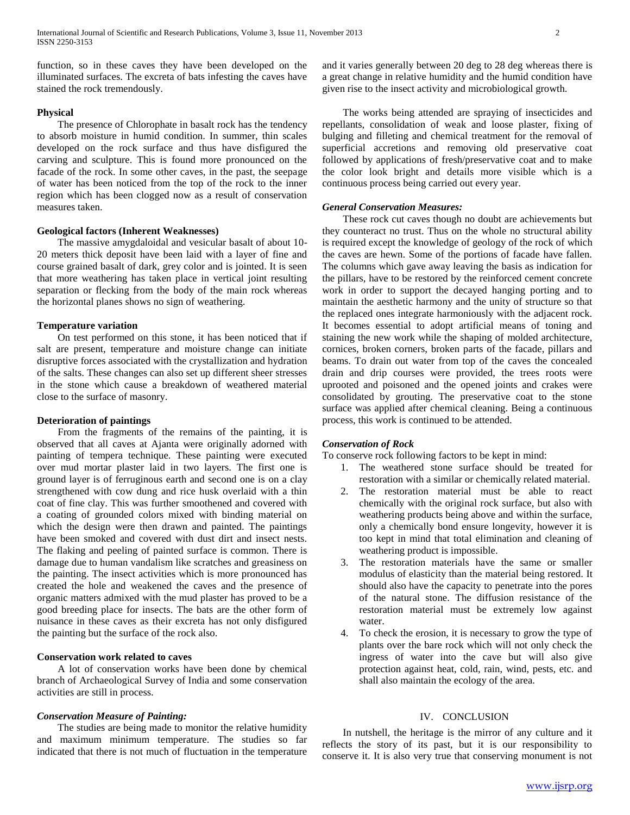function, so in these caves they have been developed on the illuminated surfaces. The excreta of bats infesting the caves have stained the rock tremendously.

#### **Physical**

 The presence of Chlorophate in basalt rock has the tendency to absorb moisture in humid condition. In summer, thin scales developed on the rock surface and thus have disfigured the carving and sculpture. This is found more pronounced on the facade of the rock. In some other caves, in the past, the seepage of water has been noticed from the top of the rock to the inner region which has been clogged now as a result of conservation measures taken.

# **Geological factors (Inherent Weaknesses)**

 The massive amygdaloidal and vesicular basalt of about 10- 20 meters thick deposit have been laid with a layer of fine and course grained basalt of dark, grey color and is jointed. It is seen that more weathering has taken place in vertical joint resulting separation or flecking from the body of the main rock whereas the horizontal planes shows no sign of weathering.

#### **Temperature variation**

 On test performed on this stone, it has been noticed that if salt are present, temperature and moisture change can initiate disruptive forces associated with the crystallization and hydration of the salts. These changes can also set up different sheer stresses in the stone which cause a breakdown of weathered material close to the surface of masonry.

#### **Deterioration of paintings**

 From the fragments of the remains of the painting, it is observed that all caves at Ajanta were originally adorned with painting of tempera technique. These painting were executed over mud mortar plaster laid in two layers. The first one is ground layer is of ferruginous earth and second one is on a clay strengthened with cow dung and rice husk overlaid with a thin coat of fine clay. This was further smoothened and covered with a coating of grounded colors mixed with binding material on which the design were then drawn and painted. The paintings have been smoked and covered with dust dirt and insect nests. The flaking and peeling of painted surface is common. There is damage due to human vandalism like scratches and greasiness on the painting. The insect activities which is more pronounced has created the hole and weakened the caves and the presence of organic matters admixed with the mud plaster has proved to be a good breeding place for insects. The bats are the other form of nuisance in these caves as their excreta has not only disfigured the painting but the surface of the rock also.

# **Conservation work related to caves**

 A lot of conservation works have been done by chemical branch of Archaeological Survey of India and some conservation activities are still in process.

# *Conservation Measure of Painting:*

 The studies are being made to monitor the relative humidity and maximum minimum temperature. The studies so far indicated that there is not much of fluctuation in the temperature and it varies generally between 20 deg to 28 deg whereas there is a great change in relative humidity and the humid condition have given rise to the insect activity and microbiological growth.

 The works being attended are spraying of insecticides and repellants, consolidation of weak and loose plaster, fixing of bulging and filleting and chemical treatment for the removal of superficial accretions and removing old preservative coat followed by applications of fresh/preservative coat and to make the color look bright and details more visible which is a continuous process being carried out every year.

## *General Conservation Measures:*

 These rock cut caves though no doubt are achievements but they counteract no trust. Thus on the whole no structural ability is required except the knowledge of geology of the rock of which the caves are hewn. Some of the portions of facade have fallen. The columns which gave away leaving the basis as indication for the pillars, have to be restored by the reinforced cement concrete work in order to support the decayed hanging porting and to maintain the aesthetic harmony and the unity of structure so that the replaced ones integrate harmoniously with the adjacent rock. It becomes essential to adopt artificial means of toning and staining the new work while the shaping of molded architecture, cornices, broken corners, broken parts of the facade, pillars and beams. To drain out water from top of the caves the concealed drain and drip courses were provided, the trees roots were uprooted and poisoned and the opened joints and crakes were consolidated by grouting. The preservative coat to the stone surface was applied after chemical cleaning. Being a continuous process, this work is continued to be attended.

# *Conservation of Rock*

To conserve rock following factors to be kept in mind:

- 1. The weathered stone surface should be treated for restoration with a similar or chemically related material.
- 2. The restoration material must be able to react chemically with the original rock surface, but also with weathering products being above and within the surface, only a chemically bond ensure longevity, however it is too kept in mind that total elimination and cleaning of weathering product is impossible.
- 3. The restoration materials have the same or smaller modulus of elasticity than the material being restored. It should also have the capacity to penetrate into the pores of the natural stone. The diffusion resistance of the restoration material must be extremely low against water.
- 4. To check the erosion, it is necessary to grow the type of plants over the bare rock which will not only check the ingress of water into the cave but will also give protection against heat, cold, rain, wind, pests, etc. and shall also maintain the ecology of the area.

# IV. CONCLUSION

 In nutshell, the heritage is the mirror of any culture and it reflects the story of its past, but it is our responsibility to conserve it. It is also very true that conserving monument is not